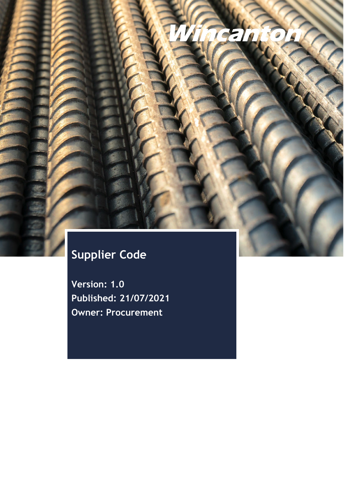# **Supplier Code**

**Version: 1.0 Published: 21/07/2021 Owner: Procurement**

 $\mathbf{z}$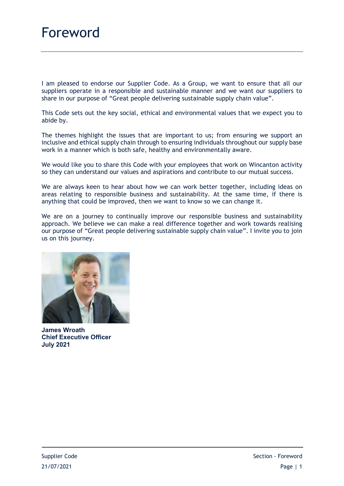I am pleased to endorse our Supplier Code. As a Group, we want to ensure that all our suppliers operate in a responsible and sustainable manner and we want our suppliers to share in our purpose of "Great people delivering sustainable supply chain value".

This Code sets out the key social, ethical and environmental values that we expect you to abide by.

The themes highlight the issues that are important to us; from ensuring we support an inclusive and ethical supply chain through to ensuring individuals throughout our supply base work in a manner which is both safe, healthy and environmentally aware.

We would like you to share this Code with your employees that work on Wincanton activity so they can understand our values and aspirations and contribute to our mutual success.

We are always keen to hear about how we can work better together, including ideas on areas relating to responsible business and sustainability. At the same time, if there is anything that could be improved, then we want to know so we can change it.

We are on a journey to continually improve our responsible business and sustainability approach. We believe we can make a real difference together and work towards realising our purpose of "Great people delivering sustainable supply chain value". I invite you to join us on this journey.



**James Wroath Chief Executive Officer July 2021**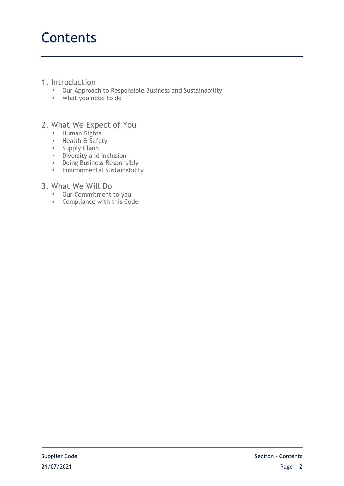# **Contents**

## 1. Introduction

- **Dur Approach to Responsible Business and Sustainability**
- What you need to do

# 2. What We Expect of You

- **Human Rights**
- **Health & Safety**
- **Supply Chain**
- Diversity and Inclusion
- **Doing Business Responsibly**
- **Environmental Sustainability**

## 3. What We Will Do

- **-** Our Commitment to you
- **Compliance with this Code**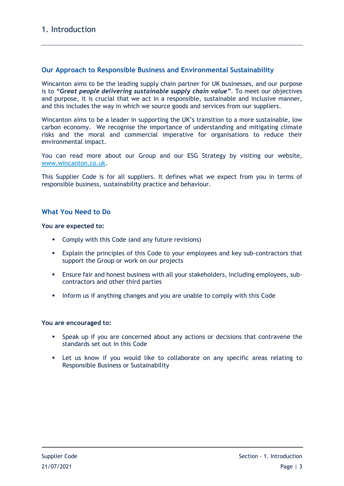## **Our Approach to Responsible Business and Environmental Sustainability**

Wincanton aims to be the leading supply chain partner for UK businesses, and our purpose is to *"Great people delivering sustainable supply chain value"*. To meet our objectives and purpose, it is crucial that we act in a responsible, sustainable and inclusive manner, and this includes the way in which we source goods and services from our suppliers.

Wincanton aims to be a leader in supporting the UK's transition to a more sustainable, low carbon economy. We recognise the importance of understanding and mitigating climate risks and the moral and commercial imperative for organisations to reduce their environmental impact.

You can read more about our Group and our ESG Strategy by visiting our website, [www.wincanton.co.uk.](http://www.wincanton.co.uk/)

This Supplier Code is for all suppliers. It defines what we expect from you in terms of responsible business, sustainability practice and behaviour.

## **What You Need to Do**

#### **You are expected to:**

- **Comply with this Code (and any future revisions)**
- Explain the principles of this Code to your employees and key sub-contractors that support the Group or work on our projects
- Ensure fair and honest business with all your stakeholders, including employees, subcontractors and other third parties
- Inform us if anything changes and you are unable to comply with this Code

#### **You are encouraged to:**

- Speak up if you are concerned about any actions or decisions that contravene the standards set out in this Code
- Let us know if you would like to collaborate on any specific areas relating to Responsible Business or Sustainability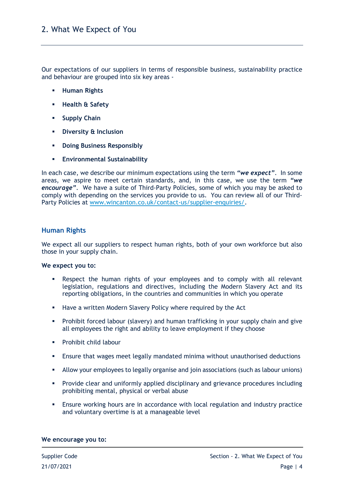Our expectations of our suppliers in terms of responsible business, sustainability practice and behaviour are grouped into six key areas -

- **Human Rights**
- **Health & Safety**
- **F** Supply Chain
- **Diversity & Inclusion**
- **-** Doing Business Responsibly
- **Environmental Sustainability**

In each case, we describe our minimum expectations using the term *"we expect"*. In some areas, we aspire to meet certain standards, and, in this case, we use the term *"we encourage"*. We have a suite of Third-Party Policies, some of which you may be asked to comply with depending on the services you provide to us. You can review all of our Third-Party Policies at [www.wincanton.co.uk/contact-us/supplier-enquiries/.](http://www.wincanton.co.uk/contact-us/supplier-enquiries/)

### **Human Rights**

We expect all our suppliers to respect human rights, both of your own workforce but also those in your supply chain.

#### **We expect you to:**

- Respect the human rights of your employees and to comply with all relevant legislation, regulations and directives, including the Modern Slavery Act and its reporting obligations, in the countries and communities in which you operate
- **Have a written Modern Slavery Policy where required by the Act**
- Prohibit forced labour (slavery) and human trafficking in your supply chain and give all employees the right and ability to leave employment if they choose
- Prohibit child labour
- Ensure that wages meet legally mandated minima without unauthorised deductions
- Allow your employees to legally organise and join associations (such as labour unions)
- Provide clear and uniformly applied disciplinary and grievance procedures including prohibiting mental, physical or verbal abuse
- Ensure working hours are in accordance with local regulation and industry practice and voluntary overtime is at a manageable level

#### **We encourage you to:**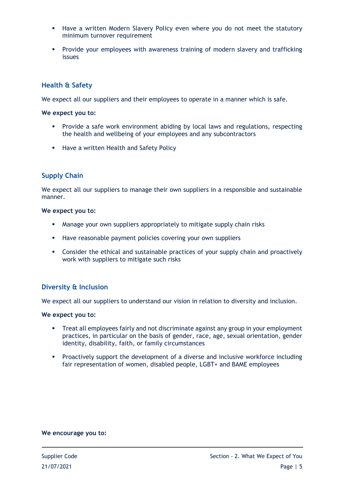- Have a written Modern Slavery Policy even where you do not meet the statutory minimum turnover requirement
- Provide your employees with awareness training of modern slavery and trafficking issues

## **Health & Safety**

We expect all our suppliers and their employees to operate in a manner which is safe.

#### **We expect you to:**

- Provide a safe work environment abiding by local laws and regulations, respecting the health and wellbeing of your employees and any subcontractors
- **Have a written Health and Safety Policy**

## **Supply Chain**

We expect all our suppliers to manage their own suppliers in a responsible and sustainable manner.

#### **We expect you to:**

- Manage your own suppliers appropriately to mitigate supply chain risks
- **Have reasonable payment policies covering your own suppliers**
- Consider the ethical and sustainable practices of your supply chain and proactively work with suppliers to mitigate such risks

## **Diversity & Inclusion**

We expect all our suppliers to understand our vision in relation to diversity and inclusion.

#### **We expect you to:**

- Treat all employees fairly and not discriminate against any group in your employment practices, in particular on the basis of gender, race, age, sexual orientation, gender identity, disability, faith, or family circumstances
- Proactively support the development of a diverse and inclusive workforce including fair representation of women, disabled people, LGBT+ and BAME employees

#### **We encourage you to:**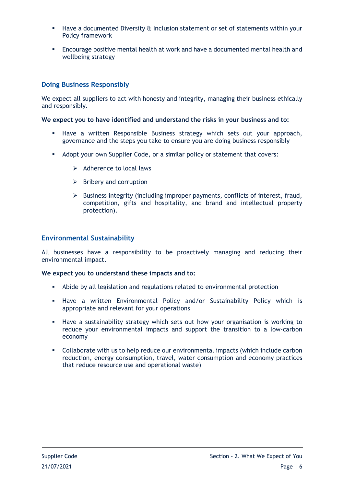- Have a documented Diversity & Inclusion statement or set of statements within your Policy framework
- Encourage positive mental health at work and have a documented mental health and wellbeing strategy

## **Doing Business Responsibly**

We expect all suppliers to act with honesty and integrity, managing their business ethically and responsibly.

#### **We expect you to have identified and understand the risks in your business and to:**

- Have a written Responsible Business strategy which sets out your approach, governance and the steps you take to ensure you are doing business responsibly
- Adopt your own Supplier Code, or a similar policy or statement that covers:
	- $\triangleright$  Adherence to local laws
	- $\triangleright$  Bribery and corruption
	- $\triangleright$  Business integrity (including improper payments, conflicts of interest, fraud, competition, gifts and hospitality, and brand and intellectual property protection).

### **Environmental Sustainability**

All businesses have a responsibility to be proactively managing and reducing their environmental impact.

#### **We expect you to understand these impacts and to:**

- Abide by all legislation and regulations related to environmental protection
- Have a written Environmental Policy and/or Sustainability Policy which is appropriate and relevant for your operations
- Have a sustainability strategy which sets out how your organisation is working to reduce your environmental impacts and support the transition to a low-carbon economy
- Collaborate with us to help reduce our environmental impacts (which include carbon reduction, energy consumption, travel, water consumption and economy practices that reduce resource use and operational waste)